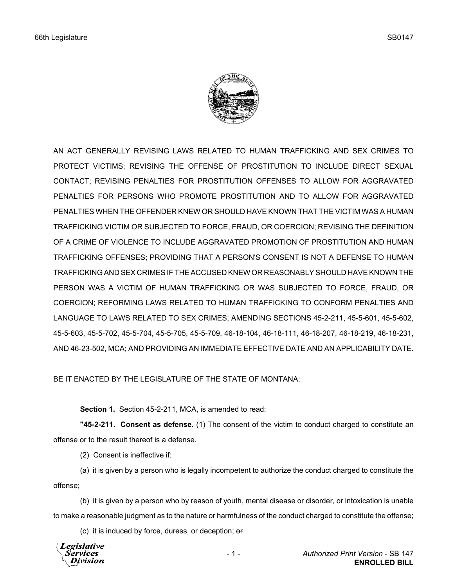

AN ACT GENERALLY REVISING LAWS RELATED TO HUMAN TRAFFICKING AND SEX CRIMES TO PROTECT VICTIMS; REVISING THE OFFENSE OF PROSTITUTION TO INCLUDE DIRECT SEXUAL CONTACT; REVISING PENALTIES FOR PROSTITUTION OFFENSES TO ALLOW FOR AGGRAVATED PENALTIES FOR PERSONS WHO PROMOTE PROSTITUTION AND TO ALLOW FOR AGGRAVATED PENALTIES WHEN THE OFFENDER KNEW OR SHOULD HAVE KNOWN THAT THE VICTIM WAS A HUMAN TRAFFICKING VICTIM OR SUBJECTED TO FORCE, FRAUD, OR COERCION; REVISING THE DEFINITION OF A CRIME OF VIOLENCE TO INCLUDE AGGRAVATED PROMOTION OF PROSTITUTION AND HUMAN TRAFFICKING OFFENSES; PROVIDING THAT A PERSON'S CONSENT IS NOT A DEFENSE TO HUMAN TRAFFICKING AND SEX CRIMES IF THE ACCUSED KNEW OR REASONABLY SHOULD HAVE KNOWN THE PERSON WAS A VICTIM OF HUMAN TRAFFICKING OR WAS SUBJECTED TO FORCE, FRAUD, OR COERCION; REFORMING LAWS RELATED TO HUMAN TRAFFICKING TO CONFORM PENALTIES AND LANGUAGE TO LAWS RELATED TO SEX CRIMES; AMENDING SECTIONS 45-2-211, 45-5-601, 45-5-602, 45-5-603, 45-5-702, 45-5-704, 45-5-705, 45-5-709, 46-18-104, 46-18-111, 46-18-207, 46-18-219, 46-18-231, AND 46-23-502, MCA; AND PROVIDING AN IMMEDIATE EFFECTIVE DATE AND AN APPLICABILITY DATE.

BE IT ENACTED BY THE LEGISLATURE OF THE STATE OF MONTANA:

**Section 1.** Section 45-2-211, MCA, is amended to read:

**"45-2-211. Consent as defense.** (1) The consent of the victim to conduct charged to constitute an offense or to the result thereof is a defense.

(2) Consent is ineffective if:

(a) it is given by a person who is legally incompetent to authorize the conduct charged to constitute the offense;

(b) it is given by a person who by reason of youth, mental disease or disorder, or intoxication is unable to make a reasonable judgment as to the nature or harmfulness of the conduct charged to constitute the offense;

(c) it is induced by force, duress, or deception;  $er$ 

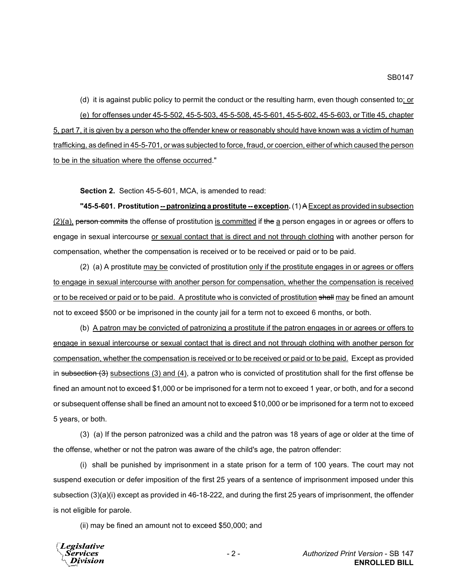(d) it is against public policy to permit the conduct or the resulting harm, even though consented to; or (e) for offenses under 45-5-502, 45-5-503, 45-5-508, 45-5-601, 45-5-602, 45-5-603, or Title 45, chapter 5, part 7, it is given by a person who the offender knew or reasonably should have known was a victim of human trafficking, as defined in 45-5-701, or was subjected to force, fraud, or coercion, either of which caused the person to be in the situation where the offense occurred."

**Section 2.** Section 45-5-601, MCA, is amended to read:

**"45-5-601. Prostitution <u>-- patronizing a prostitute -- exception</u>. (1) A Except as provided in subsection**  $(2)(a)$ , person commits the offense of prostitution is committed if the a person engages in or agrees or offers to engage in sexual intercourse or sexual contact that is direct and not through clothing with another person for compensation, whether the compensation is received or to be received or paid or to be paid.

(2) (a) A prostitute may be convicted of prostitution only if the prostitute engages in or agrees or offers to engage in sexual intercourse with another person for compensation, whether the compensation is received or to be received or paid or to be paid. A prostitute who is convicted of prostitution shall may be fined an amount not to exceed \$500 or be imprisoned in the county jail for a term not to exceed 6 months, or both.

(b) A patron may be convicted of patronizing a prostitute if the patron engages in or agrees or offers to engage in sexual intercourse or sexual contact that is direct and not through clothing with another person for compensation, whether the compensation is received or to be received or paid or to be paid. Except as provided in subsection  $(3)$  subsections  $(3)$  and  $(4)$ , a patron who is convicted of prostitution shall for the first offense be fined an amount not to exceed \$1,000 or be imprisoned for a term not to exceed 1 year, or both, and for a second or subsequent offense shall be fined an amount not to exceed \$10,000 or be imprisoned for a term not to exceed 5 years, or both.

(3) (a) If the person patronized was a child and the patron was 18 years of age or older at the time of the offense, whether or not the patron was aware of the child's age, the patron offender:

(i) shall be punished by imprisonment in a state prison for a term of 100 years. The court may not suspend execution or defer imposition of the first 25 years of a sentence of imprisonment imposed under this subsection (3)(a)(i) except as provided in 46-18-222, and during the first 25 years of imprisonment, the offender is not eligible for parole.

(ii) may be fined an amount not to exceed \$50,000; and

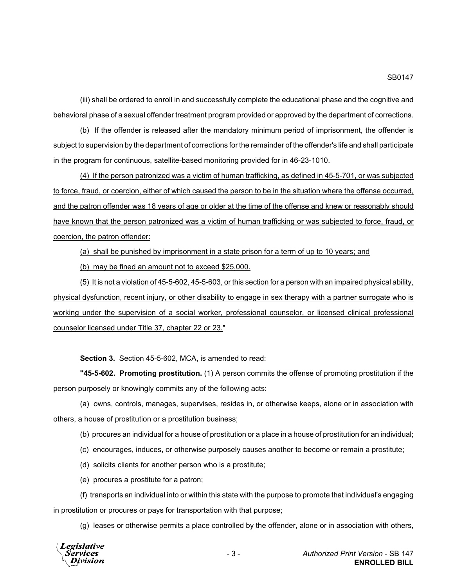(iii) shall be ordered to enroll in and successfully complete the educational phase and the cognitive and behavioral phase of a sexual offender treatment program provided or approved by the department of corrections.

(b) If the offender is released after the mandatory minimum period of imprisonment, the offender is subject to supervision by the department of corrections for the remainder of the offender's life and shall participate in the program for continuous, satellite-based monitoring provided for in 46-23-1010.

(4) If the person patronized was a victim of human trafficking, as defined in 45-5-701, or was subjected to force, fraud, or coercion, either of which caused the person to be in the situation where the offense occurred, and the patron offender was 18 years of age or older at the time of the offense and knew or reasonably should have known that the person patronized was a victim of human trafficking or was subjected to force, fraud, or coercion, the patron offender:

(a) shall be punished by imprisonment in a state prison for a term of up to 10 years; and

(b) may be fined an amount not to exceed \$25,000.

(5) It is not a violation of 45-5-602, 45-5-603, or this section for a person with an impaired physical ability, physical dysfunction, recent injury, or other disability to engage in sex therapy with a partner surrogate who is working under the supervision of a social worker, professional counselor, or licensed clinical professional counselor licensed under Title 37, chapter 22 or 23."

**Section 3.** Section 45-5-602, MCA, is amended to read:

**"45-5-602. Promoting prostitution.** (1) A person commits the offense of promoting prostitution if the person purposely or knowingly commits any of the following acts:

(a) owns, controls, manages, supervises, resides in, or otherwise keeps, alone or in association with others, a house of prostitution or a prostitution business;

(b) procures an individual for a house of prostitution or a place in a house of prostitution for an individual;

(c) encourages, induces, or otherwise purposely causes another to become or remain a prostitute;

- (d) solicits clients for another person who is a prostitute;
- (e) procures a prostitute for a patron;

(f) transports an individual into or within this state with the purpose to promote that individual's engaging in prostitution or procures or pays for transportation with that purpose;

(g) leases or otherwise permits a place controlled by the offender, alone or in association with others,

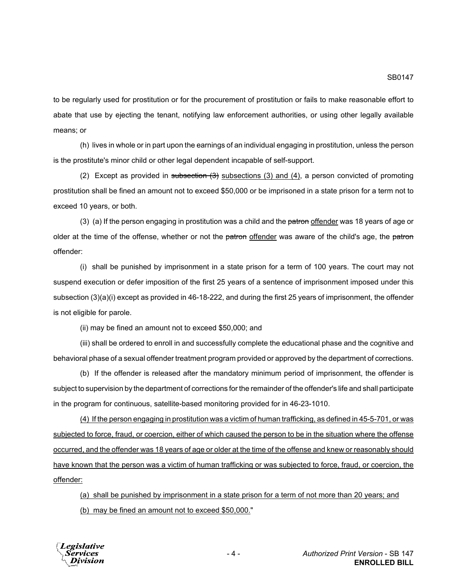to be regularly used for prostitution or for the procurement of prostitution or fails to make reasonable effort to abate that use by ejecting the tenant, notifying law enforcement authorities, or using other legally available means; or

(h) lives in whole or in part upon the earnings of an individual engaging in prostitution, unless the person is the prostitute's minor child or other legal dependent incapable of self-support.

(2) Except as provided in subsection  $(3)$  subsections (3) and (4), a person convicted of promoting prostitution shall be fined an amount not to exceed \$50,000 or be imprisoned in a state prison for a term not to exceed 10 years, or both.

(3) (a) If the person engaging in prostitution was a child and the patron offender was 18 years of age or older at the time of the offense, whether or not the patron offender was aware of the child's age, the patron offender:

(i) shall be punished by imprisonment in a state prison for a term of 100 years. The court may not suspend execution or defer imposition of the first 25 years of a sentence of imprisonment imposed under this subsection (3)(a)(i) except as provided in 46-18-222, and during the first 25 years of imprisonment, the offender is not eligible for parole.

(ii) may be fined an amount not to exceed \$50,000; and

(iii) shall be ordered to enroll in and successfully complete the educational phase and the cognitive and behavioral phase of a sexual offender treatment program provided or approved by the department of corrections.

(b) If the offender is released after the mandatory minimum period of imprisonment, the offender is subject to supervision by the department of corrections for the remainder of the offender's life and shall participate in the program for continuous, satellite-based monitoring provided for in 46-23-1010.

(4) If the person engaging in prostitution was a victim of human trafficking, as defined in 45-5-701, or was subjected to force, fraud, or coercion, either of which caused the person to be in the situation where the offense occurred, and the offender was 18 years of age or older at the time of the offense and knew or reasonably should have known that the person was a victim of human trafficking or was subjected to force, fraud, or coercion, the offender:

(a) shall be punished by imprisonment in a state prison for a term of not more than 20 years; and

(b) may be fined an amount not to exceed \$50,000."

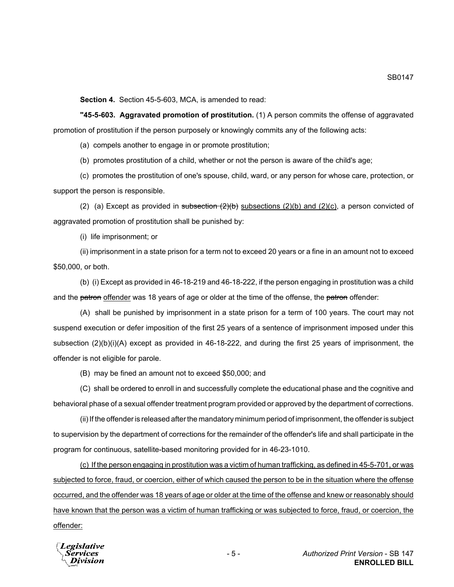**Section 4.** Section 45-5-603, MCA, is amended to read:

**"45-5-603. Aggravated promotion of prostitution.** (1) A person commits the offense of aggravated promotion of prostitution if the person purposely or knowingly commits any of the following acts:

(a) compels another to engage in or promote prostitution;

(b) promotes prostitution of a child, whether or not the person is aware of the child's age;

(c) promotes the prostitution of one's spouse, child, ward, or any person for whose care, protection, or support the person is responsible.

(2) (a) Except as provided in subsection  $(2)(b)$  subsections  $(2)(b)$  and  $(2)(c)$ , a person convicted of aggravated promotion of prostitution shall be punished by:

(i) life imprisonment; or

(ii) imprisonment in a state prison for a term not to exceed 20 years or a fine in an amount not to exceed \$50,000, or both.

(b) (i) Except as provided in 46-18-219 and 46-18-222, if the person engaging in prostitution was a child and the patron offender was 18 years of age or older at the time of the offense, the patron offender:

(A) shall be punished by imprisonment in a state prison for a term of 100 years. The court may not suspend execution or defer imposition of the first 25 years of a sentence of imprisonment imposed under this subsection (2)(b)(i)(A) except as provided in 46-18-222, and during the first 25 years of imprisonment, the offender is not eligible for parole.

(B) may be fined an amount not to exceed \$50,000; and

(C) shall be ordered to enroll in and successfully complete the educational phase and the cognitive and behavioral phase of a sexual offender treatment program provided or approved by the department of corrections.

(ii) If the offender is released after the mandatory minimum period of imprisonment, the offender is subject to supervision by the department of corrections for the remainder of the offender's life and shall participate in the program for continuous, satellite-based monitoring provided for in 46-23-1010.

(c) If the person engaging in prostitution was a victim of human trafficking, as defined in 45-5-701, or was subjected to force, fraud, or coercion, either of which caused the person to be in the situation where the offense occurred, and the offender was 18 years of age or older at the time of the offense and knew or reasonably should have known that the person was a victim of human trafficking or was subjected to force, fraud, or coercion, the offender:

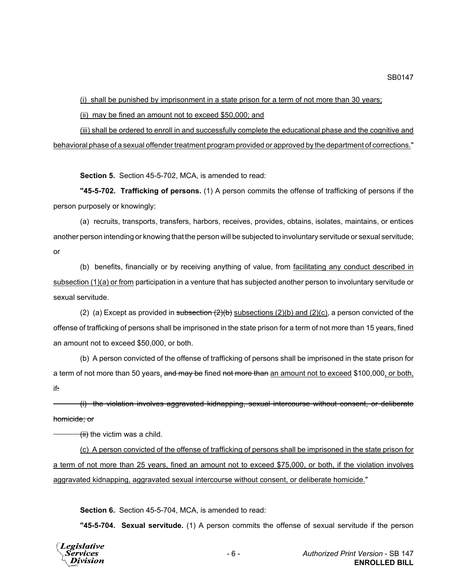(i) shall be punished by imprisonment in a state prison for a term of not more than 30 years;

(ii) may be fined an amount not to exceed \$50,000; and

(iii) shall be ordered to enroll in and successfully complete the educational phase and the cognitive and behavioral phase of a sexual offender treatment program provided or approved by the department of corrections."

**Section 5.** Section 45-5-702, MCA, is amended to read:

**"45-5-702. Trafficking of persons.** (1) A person commits the offense of trafficking of persons if the person purposely or knowingly:

(a) recruits, transports, transfers, harbors, receives, provides, obtains, isolates, maintains, or entices another person intending or knowing that the person will be subjected to involuntary servitude or sexual servitude; or

(b) benefits, financially or by receiving anything of value, from facilitating any conduct described in subsection (1)(a) or from participation in a venture that has subjected another person to involuntary servitude or sexual servitude.

(2) (a) Except as provided in subsection  $(2)(b)$  subsections  $(2)(b)$  and  $(2)(c)$ , a person convicted of the offense of trafficking of persons shall be imprisoned in the state prison for a term of not more than 15 years, fined an amount not to exceed \$50,000, or both.

(b) A person convicted of the offense of trafficking of persons shall be imprisoned in the state prison for a term of not more than 50 years, and may be fined not more than an amount not to exceed \$100,000, or both, if:

(i) the violation involves aggravated kidnapping, sexual intercourse without consent, or deliberate homicide; or

 $\overline{t}$  the victim was a child.

(c) A person convicted of the offense of trafficking of persons shall be imprisoned in the state prison for a term of not more than 25 years, fined an amount not to exceed \$75,000, or both, if the violation involves aggravated kidnapping, aggravated sexual intercourse without consent, or deliberate homicide."

**Section 6.** Section 45-5-704, MCA, is amended to read:

**"45-5-704. Sexual servitude.** (1) A person commits the offense of sexual servitude if the person

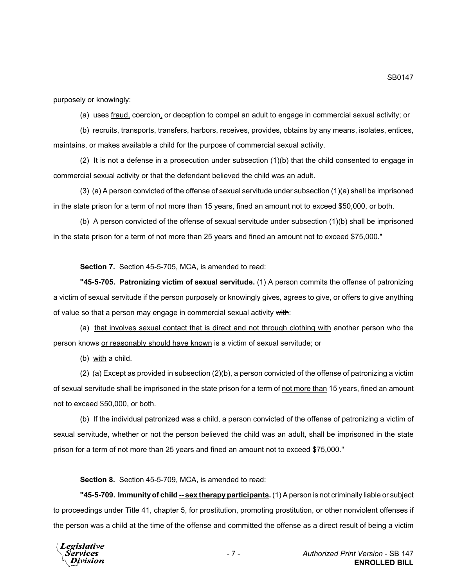purposely or knowingly:

(a) uses fraud, coercion, or deception to compel an adult to engage in commercial sexual activity; or

(b) recruits, transports, transfers, harbors, receives, provides, obtains by any means, isolates, entices, maintains, or makes available a child for the purpose of commercial sexual activity.

(2) It is not a defense in a prosecution under subsection (1)(b) that the child consented to engage in commercial sexual activity or that the defendant believed the child was an adult.

(3) (a) A person convicted of the offense of sexual servitude under subsection (1)(a) shall be imprisoned in the state prison for a term of not more than 15 years, fined an amount not to exceed \$50,000, or both.

(b) A person convicted of the offense of sexual servitude under subsection (1)(b) shall be imprisoned in the state prison for a term of not more than 25 years and fined an amount not to exceed \$75,000."

**Section 7.** Section 45-5-705, MCA, is amended to read:

**"45-5-705. Patronizing victim of sexual servitude.** (1) A person commits the offense of patronizing a victim of sexual servitude if the person purposely or knowingly gives, agrees to give, or offers to give anything of value so that a person may engage in commercial sexual activity with:

(a) that involves sexual contact that is direct and not through clothing with another person who the person knows or reasonably should have known is a victim of sexual servitude; or

(b) with a child.

(2) (a) Except as provided in subsection (2)(b), a person convicted of the offense of patronizing a victim of sexual servitude shall be imprisoned in the state prison for a term of not more than 15 years, fined an amount not to exceed \$50,000, or both.

(b) If the individual patronized was a child, a person convicted of the offense of patronizing a victim of sexual servitude, whether or not the person believed the child was an adult, shall be imprisoned in the state prison for a term of not more than 25 years and fined an amount not to exceed \$75,000."

**Section 8.** Section 45-5-709, MCA, is amended to read:

**"45-5-709. Immunity of child -- sex therapy participants.** (1) A person is not criminally liable or subject to proceedings under Title 41, chapter 5, for prostitution, promoting prostitution, or other nonviolent offenses if the person was a child at the time of the offense and committed the offense as a direct result of being a victim

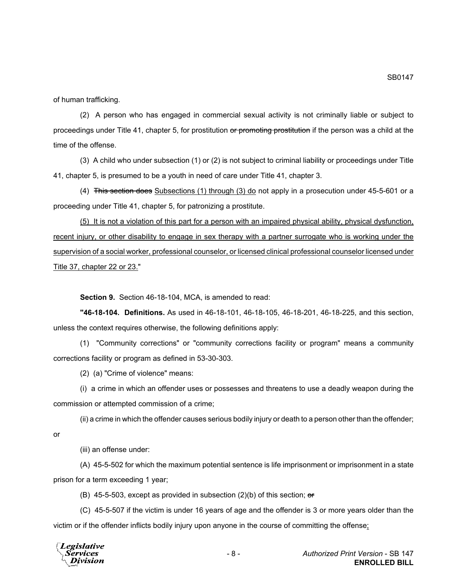of human trafficking.

(2) A person who has engaged in commercial sexual activity is not criminally liable or subject to proceedings under Title 41, chapter 5, for prostitution or promoting prostitution if the person was a child at the time of the offense.

(3) A child who under subsection (1) or (2) is not subject to criminal liability or proceedings under Title 41, chapter 5, is presumed to be a youth in need of care under Title 41, chapter 3.

(4) This section does Subsections (1) through (3) do not apply in a prosecution under 45-5-601 or a proceeding under Title 41, chapter 5, for patronizing a prostitute.

(5) It is not a violation of this part for a person with an impaired physical ability, physical dysfunction, recent injury, or other disability to engage in sex therapy with a partner surrogate who is working under the supervision of a social worker, professional counselor, or licensed clinical professional counselor licensed under Title 37, chapter 22 or 23."

**Section 9.** Section 46-18-104, MCA, is amended to read:

**"46-18-104. Definitions.** As used in 46-18-101, 46-18-105, 46-18-201, 46-18-225, and this section, unless the context requires otherwise, the following definitions apply:

(1) "Community corrections" or "community corrections facility or program" means a community corrections facility or program as defined in 53-30-303.

(2) (a) "Crime of violence" means:

(i) a crime in which an offender uses or possesses and threatens to use a deadly weapon during the commission or attempted commission of a crime;

(ii) a crime in which the offender causes serious bodily injury or death to a person other than the offender;

or

(iii) an offense under:

(A) 45-5-502 for which the maximum potential sentence is life imprisonment or imprisonment in a state prison for a term exceeding 1 year;

(B) 45-5-503, except as provided in subsection  $(2)(b)$  of this section; or

(C) 45-5-507 if the victim is under 16 years of age and the offender is 3 or more years older than the victim or if the offender inflicts bodily injury upon anyone in the course of committing the offense;

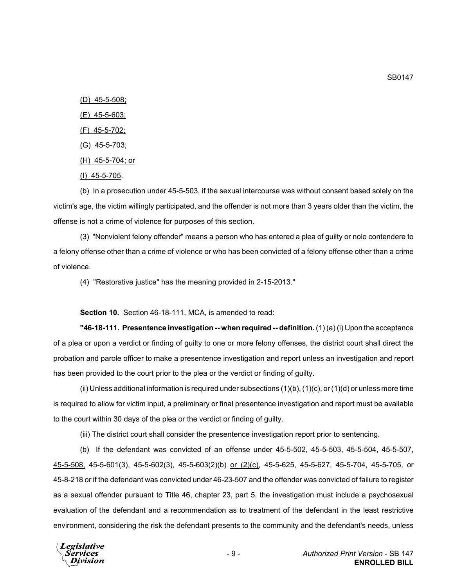(D) 45-5-508;

(E) 45-5-603;

(F) 45-5-702;

- (G) 45-5-703;
- (H) 45-5-704; or
- (I) 45-5-705.

(b) In a prosecution under 45-5-503, if the sexual intercourse was without consent based solely on the victim's age, the victim willingly participated, and the offender is not more than 3 years older than the victim, the offense is not a crime of violence for purposes of this section.

(3) "Nonviolent felony offender" means a person who has entered a plea of guilty or nolo contendere to a felony offense other than a crime of violence or who has been convicted of a felony offense other than a crime of violence.

(4) "Restorative justice" has the meaning provided in 2-15-2013."

**Section 10.** Section 46-18-111, MCA, is amended to read:

**"46-18-111. Presentence investigation -- when required -- definition.** (1) (a) (i) Upon the acceptance of a plea or upon a verdict or finding of guilty to one or more felony offenses, the district court shall direct the probation and parole officer to make a presentence investigation and report unless an investigation and report has been provided to the court prior to the plea or the verdict or finding of guilty.

(ii) Unless additional information is required under subsections  $(1)(b)$ ,  $(1)(c)$ , or  $(1)(d)$  or unless more time is required to allow for victim input, a preliminary or final presentence investigation and report must be available to the court within 30 days of the plea or the verdict or finding of guilty.

(iii) The district court shall consider the presentence investigation report prior to sentencing.

(b) If the defendant was convicted of an offense under 45-5-502, 45-5-503, 45-5-504, 45-5-507, 45-5-508, 45-5-601(3), 45-5-602(3), 45-5-603(2)(b) or (2)(c), 45-5-625, 45-5-627, 45-5-704, 45-5-705, or 45-8-218 or if the defendant was convicted under 46-23-507 and the offender was convicted of failure to register as a sexual offender pursuant to Title 46, chapter 23, part 5, the investigation must include a psychosexual evaluation of the defendant and a recommendation as to treatment of the defendant in the least restrictive environment, considering the risk the defendant presents to the community and the defendant's needs, unless

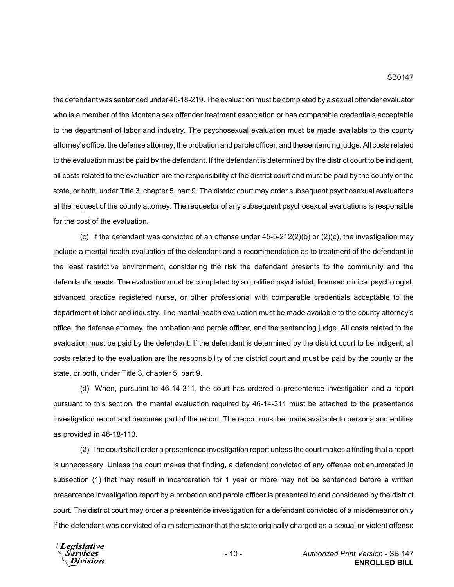the defendant was sentenced under 46-18-219. The evaluation must be completed by a sexual offender evaluator who is a member of the Montana sex offender treatment association or has comparable credentials acceptable to the department of labor and industry. The psychosexual evaluation must be made available to the county attorney's office, the defense attorney, the probation and parole officer, and the sentencing judge. All costs related to the evaluation must be paid by the defendant. If the defendant is determined by the district court to be indigent, all costs related to the evaluation are the responsibility of the district court and must be paid by the county or the state, or both, under Title 3, chapter 5, part 9. The district court may order subsequent psychosexual evaluations at the request of the county attorney. The requestor of any subsequent psychosexual evaluations is responsible for the cost of the evaluation.

(c) If the defendant was convicted of an offense under  $45-5-212(2)(b)$  or  $(2)(c)$ , the investigation may include a mental health evaluation of the defendant and a recommendation as to treatment of the defendant in the least restrictive environment, considering the risk the defendant presents to the community and the defendant's needs. The evaluation must be completed by a qualified psychiatrist, licensed clinical psychologist, advanced practice registered nurse, or other professional with comparable credentials acceptable to the department of labor and industry. The mental health evaluation must be made available to the county attorney's office, the defense attorney, the probation and parole officer, and the sentencing judge. All costs related to the evaluation must be paid by the defendant. If the defendant is determined by the district court to be indigent, all costs related to the evaluation are the responsibility of the district court and must be paid by the county or the state, or both, under Title 3, chapter 5, part 9.

(d) When, pursuant to 46-14-311, the court has ordered a presentence investigation and a report pursuant to this section, the mental evaluation required by 46-14-311 must be attached to the presentence investigation report and becomes part of the report. The report must be made available to persons and entities as provided in 46-18-113.

(2) The court shall order a presentence investigation report unless the court makes a finding that a report is unnecessary. Unless the court makes that finding, a defendant convicted of any offense not enumerated in subsection (1) that may result in incarceration for 1 year or more may not be sentenced before a written presentence investigation report by a probation and parole officer is presented to and considered by the district court. The district court may order a presentence investigation for a defendant convicted of a misdemeanor only if the defendant was convicted of a misdemeanor that the state originally charged as a sexual or violent offense

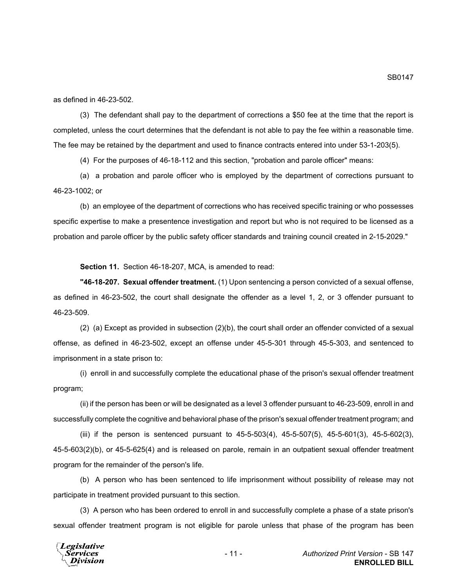as defined in 46-23-502.

(3) The defendant shall pay to the department of corrections a \$50 fee at the time that the report is completed, unless the court determines that the defendant is not able to pay the fee within a reasonable time. The fee may be retained by the department and used to finance contracts entered into under 53-1-203(5).

(4) For the purposes of 46-18-112 and this section, "probation and parole officer" means:

(a) a probation and parole officer who is employed by the department of corrections pursuant to 46-23-1002; or

(b) an employee of the department of corrections who has received specific training or who possesses specific expertise to make a presentence investigation and report but who is not required to be licensed as a probation and parole officer by the public safety officer standards and training council created in 2-15-2029."

**Section 11.** Section 46-18-207, MCA, is amended to read:

**"46-18-207. Sexual offender treatment.** (1) Upon sentencing a person convicted of a sexual offense, as defined in 46-23-502, the court shall designate the offender as a level 1, 2, or 3 offender pursuant to 46-23-509.

(2) (a) Except as provided in subsection (2)(b), the court shall order an offender convicted of a sexual offense, as defined in 46-23-502, except an offense under 45-5-301 through 45-5-303, and sentenced to imprisonment in a state prison to:

(i) enroll in and successfully complete the educational phase of the prison's sexual offender treatment program;

(ii) if the person has been or will be designated as a level 3 offender pursuant to 46-23-509, enroll in and successfully complete the cognitive and behavioral phase of the prison's sexual offender treatment program; and

(iii) if the person is sentenced pursuant to  $45-5-503(4)$ ,  $45-5-507(5)$ ,  $45-5-601(3)$ ,  $45-5-602(3)$ , 45-5-603(2)(b), or 45-5-625(4) and is released on parole, remain in an outpatient sexual offender treatment program for the remainder of the person's life.

(b) A person who has been sentenced to life imprisonment without possibility of release may not participate in treatment provided pursuant to this section.

(3) A person who has been ordered to enroll in and successfully complete a phase of a state prison's sexual offender treatment program is not eligible for parole unless that phase of the program has been

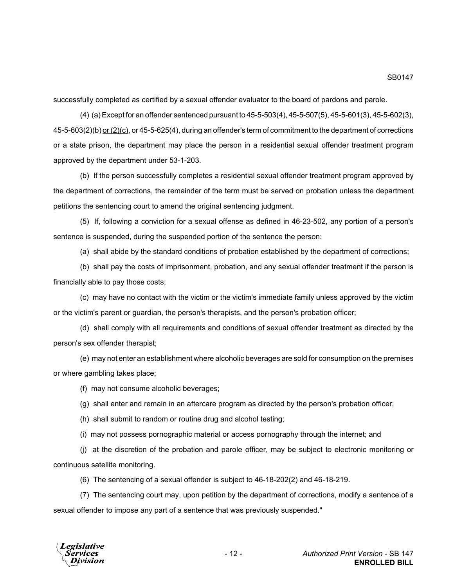successfully completed as certified by a sexual offender evaluator to the board of pardons and parole.

(4) (a) Except for an offender sentenced pursuant to 45-5-503(4), 45-5-507(5), 45-5-601(3), 45-5-602(3), 45-5-603(2)(b) or (2)(c), or 45-5-625(4), during an offender's term of commitment to the department of corrections or a state prison, the department may place the person in a residential sexual offender treatment program approved by the department under 53-1-203.

(b) If the person successfully completes a residential sexual offender treatment program approved by the department of corrections, the remainder of the term must be served on probation unless the department petitions the sentencing court to amend the original sentencing judgment.

(5) If, following a conviction for a sexual offense as defined in 46-23-502, any portion of a person's sentence is suspended, during the suspended portion of the sentence the person:

(a) shall abide by the standard conditions of probation established by the department of corrections;

(b) shall pay the costs of imprisonment, probation, and any sexual offender treatment if the person is financially able to pay those costs;

(c) may have no contact with the victim or the victim's immediate family unless approved by the victim or the victim's parent or guardian, the person's therapists, and the person's probation officer;

(d) shall comply with all requirements and conditions of sexual offender treatment as directed by the person's sex offender therapist;

(e) may not enter an establishment where alcoholic beverages are sold for consumption on the premises or where gambling takes place;

(f) may not consume alcoholic beverages;

(g) shall enter and remain in an aftercare program as directed by the person's probation officer;

(h) shall submit to random or routine drug and alcohol testing;

(i) may not possess pornographic material or access pornography through the internet; and

(j) at the discretion of the probation and parole officer, may be subject to electronic monitoring or continuous satellite monitoring.

(6) The sentencing of a sexual offender is subject to 46-18-202(2) and 46-18-219.

(7) The sentencing court may, upon petition by the department of corrections, modify a sentence of a sexual offender to impose any part of a sentence that was previously suspended."

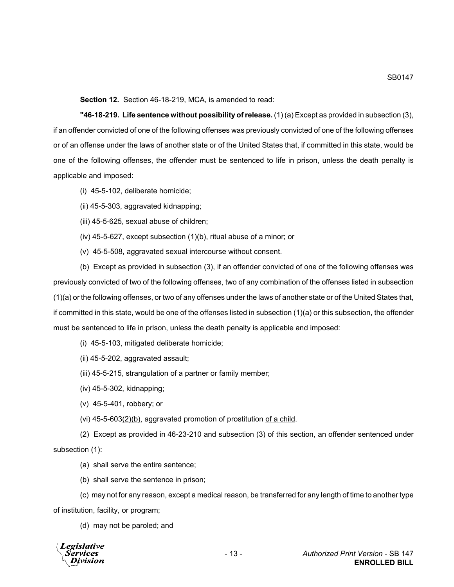**Section 12.** Section 46-18-219, MCA, is amended to read:

**"46-18-219. Life sentence without possibility of release.** (1) (a) Except as provided in subsection (3), if an offender convicted of one of the following offenses was previously convicted of one of the following offenses or of an offense under the laws of another state or of the United States that, if committed in this state, would be one of the following offenses, the offender must be sentenced to life in prison, unless the death penalty is applicable and imposed:

- (i) 45-5-102, deliberate homicide;
- (ii) 45-5-303, aggravated kidnapping;
- (iii) 45-5-625, sexual abuse of children;
- (iv) 45-5-627, except subsection (1)(b), ritual abuse of a minor; or
- (v) 45-5-508, aggravated sexual intercourse without consent.

(b) Except as provided in subsection (3), if an offender convicted of one of the following offenses was previously convicted of two of the following offenses, two of any combination of the offenses listed in subsection (1)(a) or the following offenses, or two of any offenses under the laws of another state or of the United States that, if committed in this state, would be one of the offenses listed in subsection (1)(a) or this subsection, the offender must be sentenced to life in prison, unless the death penalty is applicable and imposed:

- (i) 45-5-103, mitigated deliberate homicide;
- (ii) 45-5-202, aggravated assault;
- (iii) 45-5-215, strangulation of a partner or family member;
- (iv) 45-5-302, kidnapping;
- (v) 45-5-401, robbery; or
- (vi)  $45-5-603(2)(b)$ , aggravated promotion of prostitution of a child.

(2) Except as provided in 46-23-210 and subsection (3) of this section, an offender sentenced under subsection (1):

- (a) shall serve the entire sentence;
- (b) shall serve the sentence in prison;

(c) may not for any reason, except a medical reason, be transferred for any length of time to another type of institution, facility, or program;

(d) may not be paroled; and

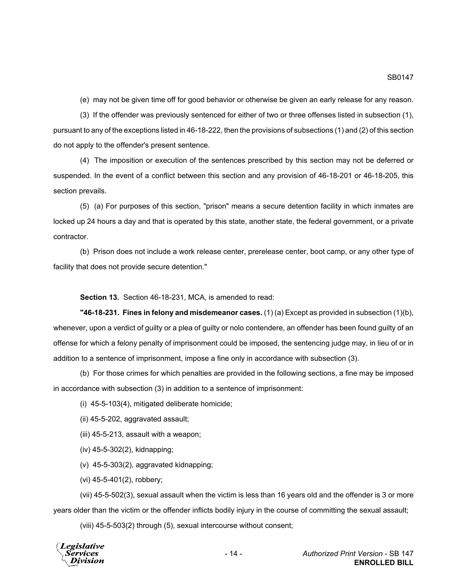(e) may not be given time off for good behavior or otherwise be given an early release for any reason.

(3) If the offender was previously sentenced for either of two or three offenses listed in subsection (1), pursuant to any of the exceptions listed in 46-18-222, then the provisions of subsections (1) and (2) of this section do not apply to the offender's present sentence.

(4) The imposition or execution of the sentences prescribed by this section may not be deferred or suspended. In the event of a conflict between this section and any provision of 46-18-201 or 46-18-205, this section prevails.

(5) (a) For purposes of this section, "prison" means a secure detention facility in which inmates are locked up 24 hours a day and that is operated by this state, another state, the federal government, or a private contractor.

(b) Prison does not include a work release center, prerelease center, boot camp, or any other type of facility that does not provide secure detention."

**Section 13.** Section 46-18-231, MCA, is amended to read:

**"46-18-231. Fines in felony and misdemeanor cases.** (1) (a) Except as provided in subsection (1)(b), whenever, upon a verdict of guilty or a plea of guilty or nolo contendere, an offender has been found guilty of an offense for which a felony penalty of imprisonment could be imposed, the sentencing judge may, in lieu of or in addition to a sentence of imprisonment, impose a fine only in accordance with subsection (3).

(b) For those crimes for which penalties are provided in the following sections, a fine may be imposed in accordance with subsection (3) in addition to a sentence of imprisonment:

(i) 45-5-103(4), mitigated deliberate homicide;

(ii) 45-5-202, aggravated assault;

(iii) 45-5-213, assault with a weapon;

(iv) 45-5-302(2), kidnapping;

(v) 45-5-303(2), aggravated kidnapping;

(vi) 45-5-401(2), robbery;

(vii) 45-5-502(3), sexual assault when the victim is less than 16 years old and the offender is 3 or more years older than the victim or the offender inflicts bodily injury in the course of committing the sexual assault;

(viii) 45-5-503(2) through (5), sexual intercourse without consent;

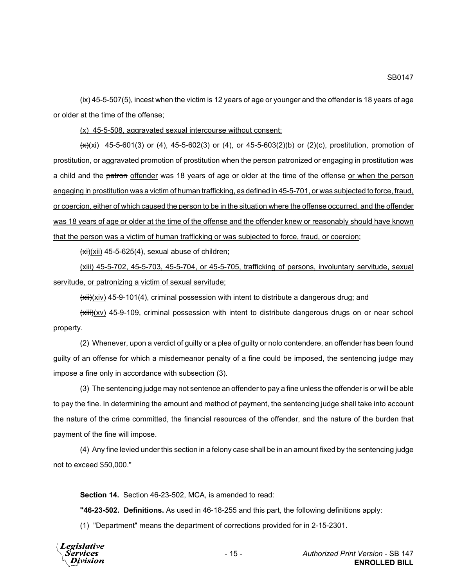(ix) 45-5-507(5), incest when the victim is 12 years of age or younger and the offender is 18 years of age or older at the time of the offense;

(x) 45-5-508, aggravated sexual intercourse without consent;

 $\frac{f(x)}{x}$  45-5-601(3) or (4), 45-5-602(3) or (4), or 45-5-603(2)(b) or (2)(c), prostitution, promotion of prostitution, or aggravated promotion of prostitution when the person patronized or engaging in prostitution was a child and the patron offender was 18 years of age or older at the time of the offense or when the person engaging in prostitution was a victim of human trafficking, as defined in 45-5-701, or was subjected to force, fraud, or coercion, either of which caused the person to be in the situation where the offense occurred, and the offender was 18 years of age or older at the time of the offense and the offender knew or reasonably should have known that the person was a victim of human trafficking or was subjected to force, fraud, or coercion;

 $(xi)(xii)$  45-5-625(4), sexual abuse of children;

(xiii) 45-5-702, 45-5-703, 45-5-704, or 45-5-705, trafficking of persons, involuntary servitude, sexual servitude, or patronizing a victim of sexual servitude;

 $(xii)(xiv)$  45-9-101(4), criminal possession with intent to distribute a dangerous drug; and

 $(xiiii)(xv)$  45-9-109, criminal possession with intent to distribute dangerous drugs on or near school property.

(2) Whenever, upon a verdict of guilty or a plea of guilty or nolo contendere, an offender has been found guilty of an offense for which a misdemeanor penalty of a fine could be imposed, the sentencing judge may impose a fine only in accordance with subsection (3).

(3) The sentencing judge may not sentence an offender to pay a fine unless the offender is or will be able to pay the fine. In determining the amount and method of payment, the sentencing judge shall take into account the nature of the crime committed, the financial resources of the offender, and the nature of the burden that payment of the fine will impose.

(4) Any fine levied under this section in a felony case shall be in an amount fixed by the sentencing judge not to exceed \$50,000."

**Section 14.** Section 46-23-502, MCA, is amended to read:

**"46-23-502. Definitions.** As used in 46-18-255 and this part, the following definitions apply:

(1) "Department" means the department of corrections provided for in 2-15-2301.

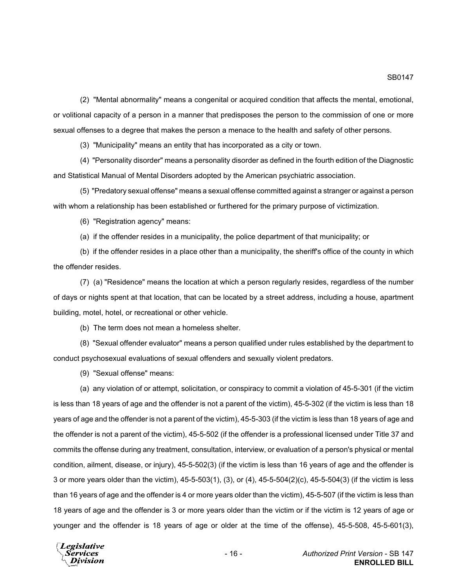(2) "Mental abnormality" means a congenital or acquired condition that affects the mental, emotional, or volitional capacity of a person in a manner that predisposes the person to the commission of one or more sexual offenses to a degree that makes the person a menace to the health and safety of other persons.

(3) "Municipality" means an entity that has incorporated as a city or town.

(4) "Personality disorder" means a personality disorder as defined in the fourth edition of the Diagnostic and Statistical Manual of Mental Disorders adopted by the American psychiatric association.

(5) "Predatory sexual offense" means a sexual offense committed against a stranger or against a person with whom a relationship has been established or furthered for the primary purpose of victimization.

(6) "Registration agency" means:

(a) if the offender resides in a municipality, the police department of that municipality; or

(b) if the offender resides in a place other than a municipality, the sheriff's office of the county in which the offender resides.

(7) (a) "Residence" means the location at which a person regularly resides, regardless of the number of days or nights spent at that location, that can be located by a street address, including a house, apartment building, motel, hotel, or recreational or other vehicle.

(b) The term does not mean a homeless shelter.

(8) "Sexual offender evaluator" means a person qualified under rules established by the department to conduct psychosexual evaluations of sexual offenders and sexually violent predators.

(9) "Sexual offense" means:

(a) any violation of or attempt, solicitation, or conspiracy to commit a violation of 45-5-301 (if the victim is less than 18 years of age and the offender is not a parent of the victim), 45-5-302 (if the victim is less than 18 years of age and the offender is not a parent of the victim), 45-5-303 (if the victim is less than 18 years of age and the offender is not a parent of the victim), 45-5-502 (if the offender is a professional licensed under Title 37 and commits the offense during any treatment, consultation, interview, or evaluation of a person's physical or mental condition, ailment, disease, or injury), 45-5-502(3) (if the victim is less than 16 years of age and the offender is 3 or more years older than the victim), 45-5-503(1), (3), or (4), 45-5-504(2)(c), 45-5-504(3) (if the victim is less than 16 years of age and the offender is 4 or more years older than the victim), 45-5-507 (if the victim is less than 18 years of age and the offender is 3 or more years older than the victim or if the victim is 12 years of age or younger and the offender is 18 years of age or older at the time of the offense), 45-5-508, 45-5-601(3),

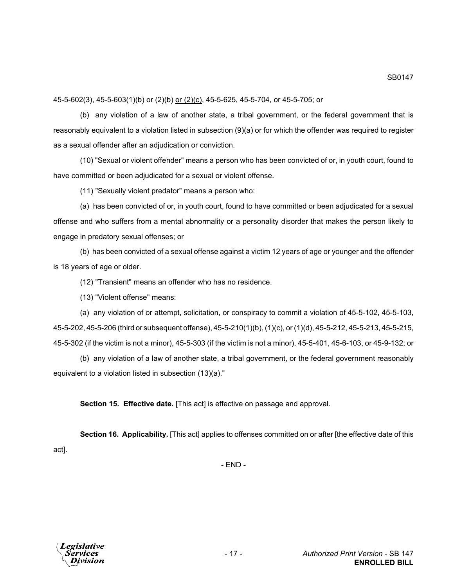45-5-602(3), 45-5-603(1)(b) or (2)(b) or (2)(c), 45-5-625, 45-5-704, or 45-5-705; or

(b) any violation of a law of another state, a tribal government, or the federal government that is reasonably equivalent to a violation listed in subsection (9)(a) or for which the offender was required to register as a sexual offender after an adjudication or conviction.

(10) "Sexual or violent offender" means a person who has been convicted of or, in youth court, found to have committed or been adjudicated for a sexual or violent offense.

(11) "Sexually violent predator" means a person who:

(a) has been convicted of or, in youth court, found to have committed or been adjudicated for a sexual offense and who suffers from a mental abnormality or a personality disorder that makes the person likely to engage in predatory sexual offenses; or

(b) has been convicted of a sexual offense against a victim 12 years of age or younger and the offender is 18 years of age or older.

(12) "Transient" means an offender who has no residence.

(13) "Violent offense" means:

(a) any violation of or attempt, solicitation, or conspiracy to commit a violation of 45-5-102, 45-5-103, 45-5-202, 45-5-206 (third or subsequent offense), 45-5-210(1)(b), (1)(c), or (1)(d), 45-5-212, 45-5-213, 45-5-215, 45-5-302 (if the victim is not a minor), 45-5-303 (if the victim is not a minor), 45-5-401, 45-6-103, or 45-9-132; or

(b) any violation of a law of another state, a tribal government, or the federal government reasonably equivalent to a violation listed in subsection (13)(a)."

**Section 15. Effective date.** [This act] is effective on passage and approval.

**Section 16. Applicability.** [This act] applies to offenses committed on or after [the effective date of this act].

- END -

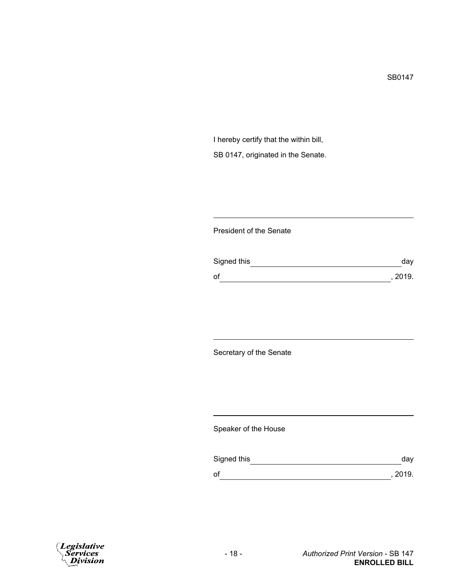I hereby certify that the within bill, SB 0147, originated in the Senate.

## President of the Senate

| Signed this | day     |
|-------------|---------|
| of          | , 2019. |

Secretary of the Senate

Speaker of the House

| Signed this | day     |
|-------------|---------|
| of          | , 2019. |